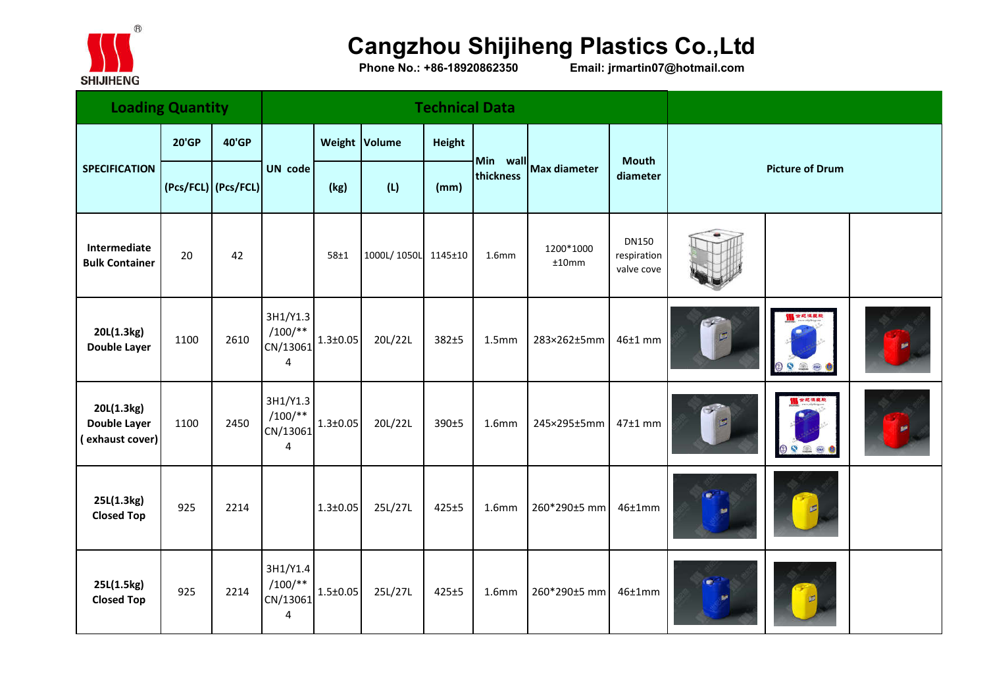

## **Cangzhou Shijiheng Plastics Co.,Ltd**

**Phone No.: +86-18920862350 Email: jrmartin07@hotmail.com**

| <b>Loading Quantity</b>                              |                     |              |                                                               |                |                     | <b>Technical Data</b> |                   |                       |                                           |                        |               |  |
|------------------------------------------------------|---------------------|--------------|---------------------------------------------------------------|----------------|---------------------|-----------------------|-------------------|-----------------------|-------------------------------------------|------------------------|---------------|--|
|                                                      | <b>20'GP</b>        | <b>40'GP</b> | <b>UN</b> code                                                | Weight Volume  |                     | Height                |                   | Min wall Max diameter | <b>Mouth</b><br>diameter                  |                        |               |  |
| <b>SPECIFICATION</b>                                 | (Pcs/FCL) (Pcs/FCL) |              |                                                               | (kg)           | (L)                 | (mm)                  | thickness         |                       |                                           | <b>Picture of Drum</b> |               |  |
| Intermediate<br><b>Bulk Container</b>                | 20                  | 42           |                                                               | 58±1           | 1000L/1050L 1145±10 |                       | 1.6 <sub>mm</sub> | 1200*1000<br>±10mm    | <b>DN150</b><br>respiration<br>valve cove |                        |               |  |
| 20L(1.3kg)<br><b>Double Layer</b>                    | 1100                | 2610         | 3H1/Y1.3<br>$/100/**$<br>CN/13061<br>$\overline{4}$           | $1.3 \pm 0.05$ | 20L/22L             | 382±5                 | 1.5 <sub>mm</sub> | 283×262±5mm           | $46±1$ mm                                 | TE                     | 0000          |  |
| 20L(1.3kg)<br><b>Double Layer</b><br>(exhaust cover) | 1100                | 2450         | 3H1/Y1.3<br>$/100$ /**<br>CN/13061<br>$\overline{\mathbf{4}}$ | $1.3 \pm 0.05$ | 20L/22L             | 390±5                 | 1.6 <sub>mm</sub> | 245×295±5mm           | $47±1$ mm                                 | $\frac{d}{d}$          | 世纪很复数<br>0026 |  |
| 25L(1.3kg)<br><b>Closed Top</b>                      | 925                 | 2214         |                                                               | $1.3 \pm 0.05$ | 25L/27L             | $425 + 5$             | 1.6 <sub>mm</sub> | 260*290±5 mm          | 46±1mm                                    | œ                      |               |  |
| 25L(1.5kg)<br><b>Closed Top</b>                      | 925                 | 2214         | 3H1/Y1.4<br>$/100/**$<br>CN/13061<br>4                        | $1.5 \pm 0.05$ | 25L/27L             | $425 + 5$             | 1.6 <sub>mm</sub> | 260*290±5 mm          | 46±1mm                                    |                        |               |  |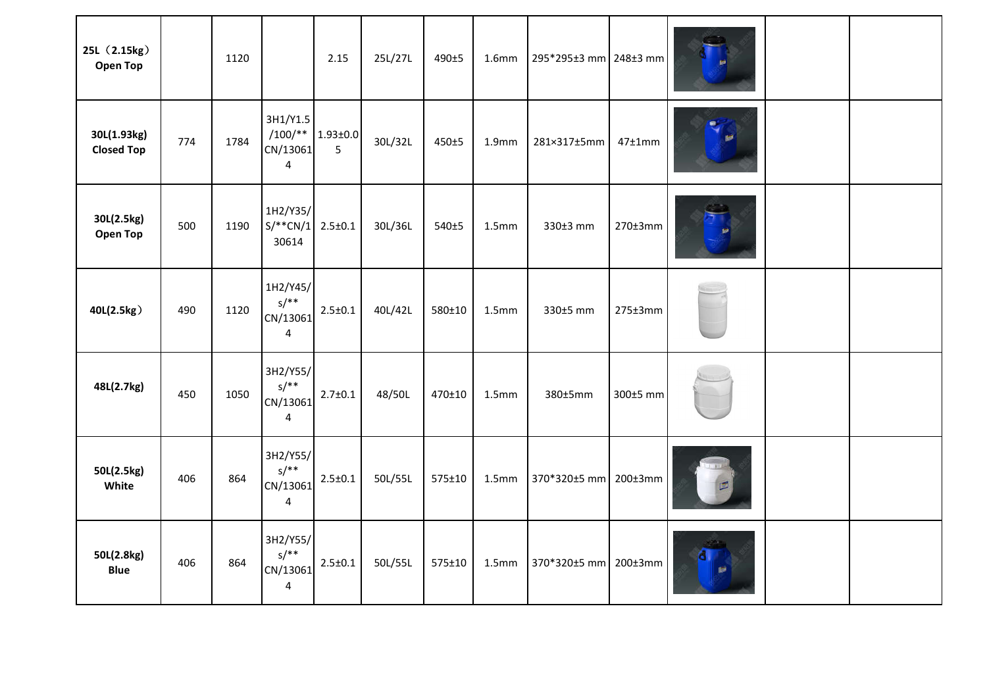| 25L (2.15kg)<br><b>Open Top</b>  |     | 1120 |                                                   | 2.15                | 25L/27L | 490±5  | 1.6 <sub>mm</sub> | 295*295±3 mm 248±3 mm |                |          |  |
|----------------------------------|-----|------|---------------------------------------------------|---------------------|---------|--------|-------------------|-----------------------|----------------|----------|--|
| 30L(1.93kg)<br><b>Closed Top</b> | 774 | 1784 | 3H1/Y1.5<br>$/100/**$<br>CN/13061<br>4            | $1.93 \pm 0.0$<br>5 | 30L/32L | 450±5  | 1.9 <sub>mm</sub> | 281×317±5mm           | 47±1mm         | <b>P</b> |  |
| 30L(2.5kg)<br><b>Open Top</b>    | 500 | 1190 | 1H2/Y35/<br>$S/*^*CN/1$<br>30614                  | $2.5 \pm 0.1$       | 30L/36L | 540±5  | 1.5 <sub>mm</sub> | 330±3 mm              | $270\pm3$ mm   |          |  |
| 40L(2.5kg)                       | 490 | 1120 | 1H2/Y45/<br>$s/**$<br>CN/13061<br>$\overline{4}$  | $2.5 \pm 0.1$       | 40L/42L | 580±10 | 1.5 <sub>mm</sub> | 330±5 mm              | $275 \pm 3$ mm |          |  |
| 48L(2.7kg)                       | 450 | 1050 | 3H2/Y55/<br>$S/***$<br>CN/13061<br>$\overline{4}$ | $2.7 \pm 0.1$       | 48/50L  | 470±10 | 1.5 <sub>mm</sub> | 380±5mm               | 300±5 mm       |          |  |
| 50L(2.5kg)<br>White              | 406 | 864  | 3H2/Y55/<br>$S/***$<br>CN/13061<br>4              | $2.5 \pm 0.1$       | 50L/55L | 575±10 | 1.5 <sub>mm</sub> | 370*320±5 mm 200±3mm  |                |          |  |
| 50L(2.8kg)<br><b>Blue</b>        | 406 | 864  | 3H2/Y55/<br>$S/***$<br>CN/13061<br>$\overline{4}$ | $2.5 \pm 0.1$       | 50L/55L | 575±10 | 1.5 <sub>mm</sub> | 370*320±5 mm          | 200±3mm        |          |  |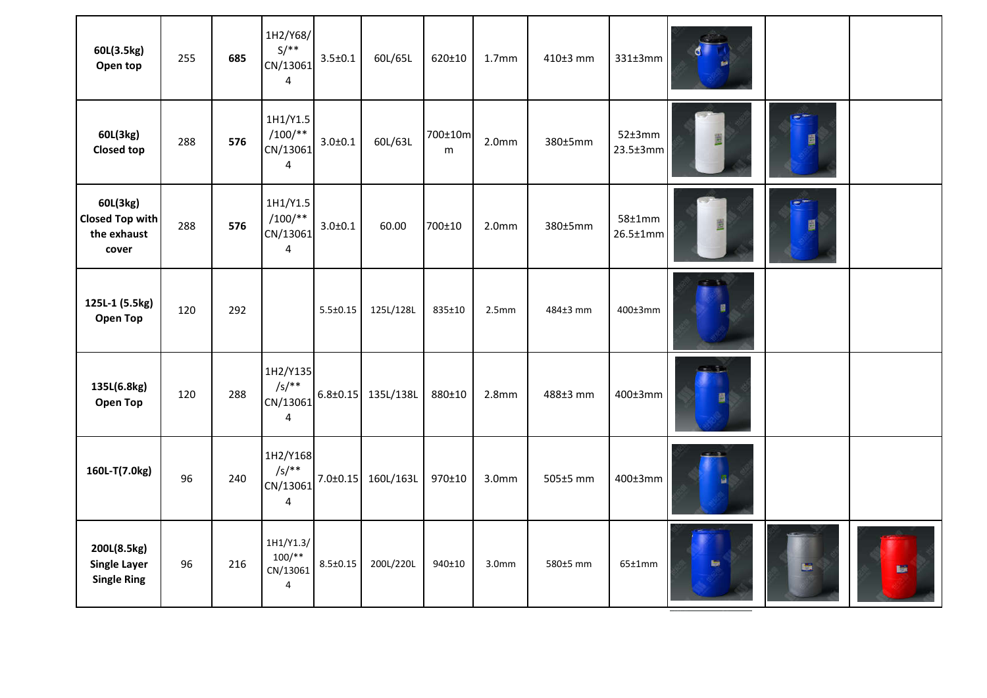| 60L(3.5kg)<br>Open top                                     | 255 | 685 | 1H2/Y68/<br>$S/**$<br>CN/13061<br>4                         | $3.5 \pm 0.1$  | 60L/65L                  | 620±10       | 1.7 <sub>mm</sub> | 410±3 mm | 331±3mm                          |               |            |   |
|------------------------------------------------------------|-----|-----|-------------------------------------------------------------|----------------|--------------------------|--------------|-------------------|----------|----------------------------------|---------------|------------|---|
| 60L(3kg)<br><b>Closed top</b>                              | 288 | 576 | 1H1/Y1.5<br>$/100/*$<br>CN/13061<br>$\overline{\mathbf{4}}$ | $3.0 + 0.1$    | 60L/63L                  | 700±10m<br>m | 2.0 <sub>mm</sub> | 380±5mm  | 52±3mm<br>$23.5 \pm 3$ mm        | 置             | e.<br>圓    |   |
| 60L(3kg)<br><b>Closed Top with</b><br>the exhaust<br>cover | 288 | 576 | 1H1/Y1.5<br>$/100/*$<br>CN/13061<br>$\overline{4}$          | $3.0 + 0.1$    | 60.00                    | 700±10       | 2.0 <sub>mm</sub> | 380±5mm  | $58 \pm 1$ mm<br>$26.5 \pm 1$ mm | Ë             | $e^+$<br>圓 |   |
| 125L-1 (5.5kg)<br><b>Open Top</b>                          | 120 | 292 |                                                             | $5.5 \pm 0.15$ | 125L/128L                | 835±10       | 2.5mm             | 484±3 mm | 400±3mm                          | $-1$          |            |   |
| 135L(6.8kg)<br>Open Top                                    | 120 | 288 | 1H2/Y135<br>$/s/**$<br>CN/13061<br>4                        |                | $6.8 \pm 0.15$ 135L/138L | 880±10       | 2.8 <sub>mm</sub> | 488±3 mm | 400±3mm                          | 闓             |            |   |
| 160L-T(7.0kg)                                              | 96  | 240 | 1H2/Y168<br>$/s/**$<br>CN/13061<br>4                        | $7.0 \pm 0.15$ | 160L/163L                | 970±10       | 3.0 <sub>mm</sub> | 505±5 mm | 400±3mm                          | $\rightarrow$ |            |   |
| 200L(8.5kg)<br><b>Single Layer</b><br><b>Single Ring</b>   | 96  | 216 | 1H1/Y1.3/<br>$100/**$<br>CN/13061<br>$\overline{4}$         | $8.5 \pm 0.15$ | 200L/220L                | 940±10       | 3.0 <sub>mm</sub> | 580±5 mm | 65±1mm                           | <b>Main</b>   |            | 聊 |